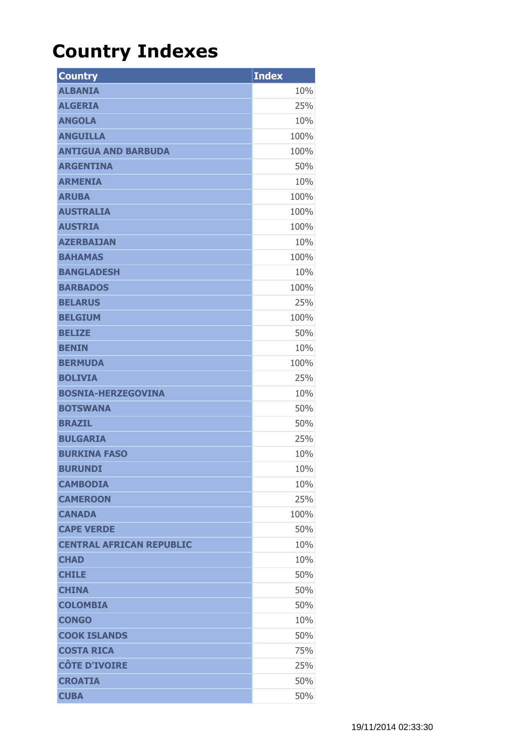## **Country Indexes**

| <b>Country</b>                  | <b>Index</b> |
|---------------------------------|--------------|
| <b>ALBANIA</b>                  | 10%          |
| <b>ALGERIA</b>                  | 25%          |
| <b>ANGOLA</b>                   | 10%          |
| <b>ANGUILLA</b>                 | 100%         |
| <b>ANTIGUA AND BARBUDA</b>      | 100%         |
| <b>ARGENTINA</b>                | 50%          |
| <b>ARMENIA</b>                  | 10%          |
| <b>ARUBA</b>                    | 100%         |
| <b>AUSTRALIA</b>                | 100%         |
| <b>AUSTRIA</b>                  | 100%         |
| <b>AZERBAIJAN</b>               | 10%          |
| <b>BAHAMAS</b>                  | 100%         |
| <b>BANGLADESH</b>               | 10%          |
| <b>BARBADOS</b>                 | 100%         |
| <b>BELARUS</b>                  | 25%          |
| <b>BELGIUM</b>                  | 100%         |
| <b>BELIZE</b>                   | 50%          |
| <b>BENIN</b>                    | 10%          |
| <b>BERMUDA</b>                  | 100%         |
| <b>BOLIVIA</b>                  | 25%          |
| <b>BOSNIA-HERZEGOVINA</b>       | 10%          |
| <b>BOTSWANA</b>                 | 50%          |
| <b>BRAZIL</b>                   | 50%          |
| <b>BULGARIA</b>                 | 25%          |
| <b>BURKINA FASO</b>             | 10%          |
| <b>BURUNDI</b>                  | 10%          |
| <b>CAMBODIA</b>                 | 10%          |
| <b>CAMEROON</b>                 | 25%          |
| <b>CANADA</b>                   | 100%         |
| <b>CAPE VERDE</b>               | 50%          |
| <b>CENTRAL AFRICAN REPUBLIC</b> | 10%          |
| <b>CHAD</b>                     | 10%          |
| <b>CHILE</b>                    | 50%          |
| <b>CHINA</b>                    | 50%          |
| <b>COLOMBIA</b>                 | 50%          |
| <b>CONGO</b>                    | 10%          |
| <b>COOK ISLANDS</b>             | 50%          |
| <b>COSTA RICA</b>               | 75%          |
| <b>CÔTE D'IVOIRE</b>            | 25%          |
| <b>CROATIA</b>                  | 50%          |
| <b>CUBA</b>                     | 50%          |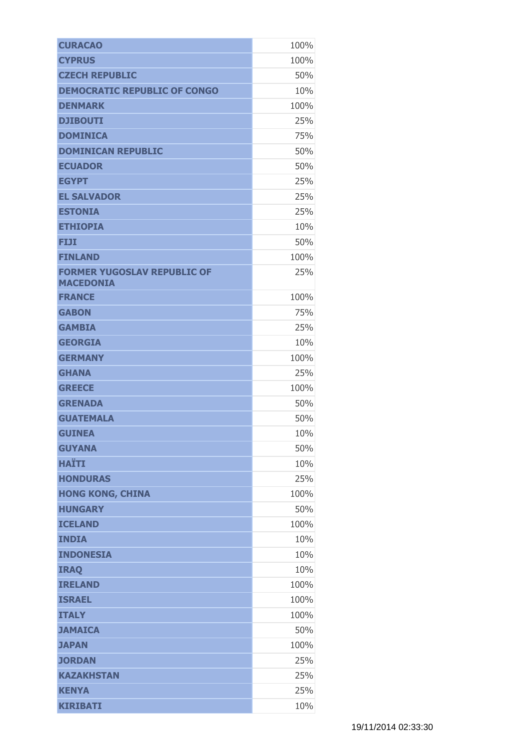| <b>CURACAO</b>                                         | 100% |
|--------------------------------------------------------|------|
| <b>CYPRUS</b>                                          | 100% |
| <b>CZECH REPUBLIC</b>                                  | 50%  |
| <b>DEMOCRATIC REPUBLIC OF CONGO</b>                    | 10%  |
| <b>DENMARK</b>                                         | 100% |
| <b>DJIBOUTI</b>                                        | 25%  |
| <b>DOMINICA</b>                                        | 75%  |
| <b>DOMINICAN REPUBLIC</b>                              | 50%  |
| <b>ECUADOR</b>                                         | 50%  |
| <b>EGYPT</b>                                           | 25%  |
| <b>EL SALVADOR</b>                                     | 25%  |
| <b>ESTONIA</b>                                         | 25%  |
| <b>ETHIOPIA</b>                                        | 10%  |
| FIJI                                                   | 50%  |
| <b>FINLAND</b>                                         | 100% |
| <b>FORMER YUGOSLAV REPUBLIC OF</b><br><b>MACEDONIA</b> | 25%  |
| <b>FRANCE</b>                                          | 100% |
| <b>GABON</b>                                           | 75%  |
| <b>GAMBIA</b>                                          | 25%  |
| <b>GEORGIA</b>                                         | 10%  |
| <b>GERMANY</b>                                         | 100% |
| <b>GHANA</b>                                           | 25%  |
| <b>GREECE</b>                                          | 100% |
| <b>GRENADA</b>                                         | 50%  |
| <b>GUATEMALA</b>                                       | 50%  |
| <b>GUINEA</b>                                          | 10%  |
| <b>GUYANA</b>                                          | 50%  |
| <b>HAÏTI</b>                                           | 10%  |
| <b>HONDURAS</b>                                        | 25%  |
| <b>HONG KONG, CHINA</b>                                | 100% |
| <b>HUNGARY</b>                                         | 50%  |
| <b>ICELAND</b>                                         | 100% |
| <b>INDIA</b>                                           | 10%  |
| <b>INDONESIA</b>                                       | 10%  |
| <b>IRAQ</b>                                            | 10%  |
| <b>IRELAND</b>                                         | 100% |
| <b>ISRAEL</b>                                          | 100% |
| <b>ITALY</b>                                           | 100% |
| <b>JAMAICA</b>                                         | 50%  |
| <b>JAPAN</b>                                           | 100% |
| <b>JORDAN</b>                                          | 25%  |
| <b>KAZAKHSTAN</b>                                      | 25%  |
| <b>KENYA</b>                                           | 25%  |
| <b>KIRIBATI</b>                                        | 10%  |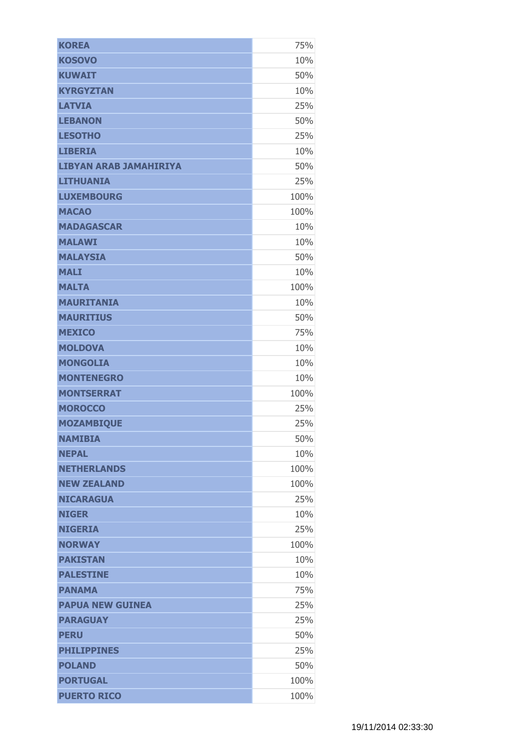| <b>KOREA</b>                  | 75%  |
|-------------------------------|------|
| <b>KOSOVO</b>                 | 10%  |
| <b>KUWAIT</b>                 | 50%  |
| <b>KYRGYZTAN</b>              | 10%  |
| <b>LATVIA</b>                 | 25%  |
| <b>LEBANON</b>                | 50%  |
| <b>LESOTHO</b>                | 25%  |
| <b>LIBERIA</b>                | 10%  |
| <b>LIBYAN ARAB JAMAHIRIYA</b> | 50%  |
| <b>LITHUANIA</b>              | 25%  |
| <b>LUXEMBOURG</b>             | 100% |
| <b>MACAO</b>                  | 100% |
| <b>MADAGASCAR</b>             | 10%  |
| <b>MALAWI</b>                 | 10%  |
| <b>MALAYSIA</b>               | 50%  |
| <b>MALI</b>                   | 10%  |
| <b>MALTA</b>                  | 100% |
| <b>MAURITANIA</b>             | 10%  |
| <b>MAURITIUS</b>              | 50%  |
| <b>MEXICO</b>                 | 75%  |
| <b>MOLDOVA</b>                | 10%  |
| <b>MONGOLIA</b>               | 10%  |
| <b>MONTENEGRO</b>             | 10%  |
| <b>MONTSERRAT</b>             | 100% |
| <b>MOROCCO</b>                | 25%  |
| <b>MOZAMBIQUE</b>             | 25%  |
| NAMIBIA                       | 50%  |
| <b>NEPAL</b>                  | 10%  |
| <b>NETHERLANDS</b>            | 100% |
| <b>NEW ZEALAND</b>            | 100% |
| <b>NICARAGUA</b>              | 25%  |
| <b>NIGER</b>                  | 10%  |
| <b>NIGERIA</b>                | 25%  |
| <b>NORWAY</b>                 | 100% |
| <b>PAKISTAN</b>               | 10%  |
| <b>PALESTINE</b>              | 10%  |
| <b>PANAMA</b>                 | 75%  |
| <b>PAPUA NEW GUINEA</b>       | 25%  |
| <b>PARAGUAY</b>               | 25%  |
| <b>PERU</b>                   | 50%  |
| <b>PHILIPPINES</b>            | 25%  |
| <b>POLAND</b>                 | 50%  |
| <b>PORTUGAL</b>               | 100% |
| <b>PUERTO RICO</b>            | 100% |